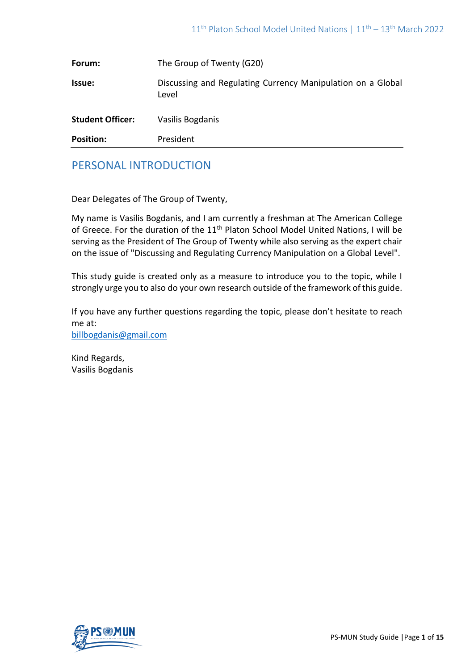| <b>Position:</b>        | President                                                            |
|-------------------------|----------------------------------------------------------------------|
|                         |                                                                      |
| <b>Student Officer:</b> | Vasilis Bogdanis                                                     |
| <b>Issue:</b>           | Discussing and Regulating Currency Manipulation on a Global<br>Level |
| Forum:                  | The Group of Twenty (G20)                                            |

# PERSONAL INTRODUCTION

Dear Delegates of The Group of Twenty,

My name is Vasilis Bogdanis, and I am currently a freshman at The American College of Greece. For the duration of the 11<sup>th</sup> Platon School Model United Nations, I will be serving as the President of The Group of Twenty while also serving as the expert chair on the issue of "Discussing and Regulating Currency Manipulation on a Global Level".

This study guide is created only as a measure to introduce you to the topic, while I strongly urge you to also do your own research outside of the framework of this guide.

If you have any further questions regarding the topic, please don't hesitate to reach me at: [billbogdanis@gmail.com](mailto:billbogdanis@gmail.com)

Kind Regards, Vasilis Bogdanis

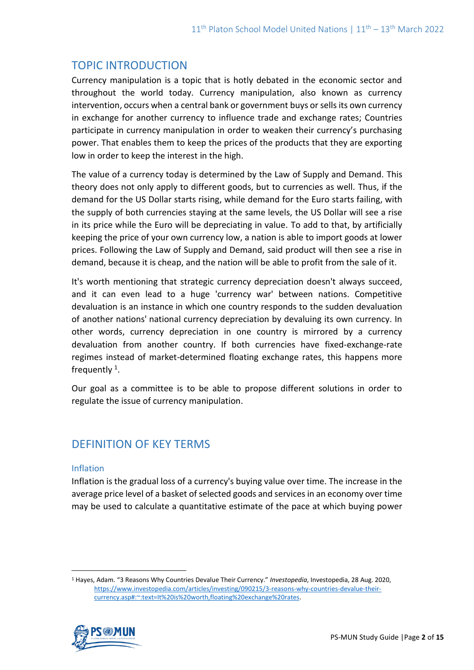# TOPIC INTRODUCTION

Currency manipulation is a topic that is hotly debated in the economic sector and throughout the world today. Currency manipulation, also known as currency intervention, occurs when a central bank or government buys or sells its own currency in exchange for another currency to influence trade and exchange rates; Countries participate in currency manipulation in order to weaken their currency's purchasing power. That enables them to keep the prices of the products that they are exporting low in order to keep the interest in the high.

The value of a currency today is determined by the Law of Supply and Demand. This theory does not only apply to different goods, but to currencies as well. Thus, if the demand for the US Dollar starts rising, while demand for the Euro starts failing, with the supply of both currencies staying at the same levels, the US Dollar will see a rise in its price while the Euro will be depreciating in value. To add to that, by artificially keeping the price of your own currency low, a nation is able to import goods at lower prices. Following the Law of Supply and Demand, said product will then see a rise in demand, because it is cheap, and the nation will be able to profit from the sale of it.

It's worth mentioning that strategic currency depreciation doesn't always succeed, and it can even lead to a huge 'currency war' between nations. Competitive devaluation is an instance in which one country responds to the sudden devaluation of another nations' national currency depreciation by devaluing its own currency. In other words, currency depreciation in one country is mirrored by a currency devaluation from another country. If both currencies have fixed-exchange-rate regimes instead of market-determined floating exchange rates, this happens more frequently<sup>1</sup>.

Our goal as a committee is to be able to propose different solutions in order to regulate the issue of currency manipulation.

# DEFINITION OF KEY TERMS

### Inflation

Inflation is the gradual loss of a currency's buying value over time. The increase in the average price level of a basket of selected goods and services in an economy over time may be used to calculate a quantitative estimate of the pace at which buying power

<sup>1</sup> Hayes, Adam. "3 Reasons Why Countries Devalue Their Currency." *Investopedia*, Investopedia, 28 Aug. 2020, [https://www.investopedia.com/articles/investing/090215/3-reasons-why-countries-devalue-their](https://www.investopedia.com/articles/investing/090215/3-reasons-why-countries-devalue-their-currency.asp#:~:text=It%20is%20worth,floating%20exchange%20rates)[currency.asp#:~:text=It%20is%20worth,floating%20exchange%20rates.](https://www.investopedia.com/articles/investing/090215/3-reasons-why-countries-devalue-their-currency.asp#:~:text=It%20is%20worth,floating%20exchange%20rates)

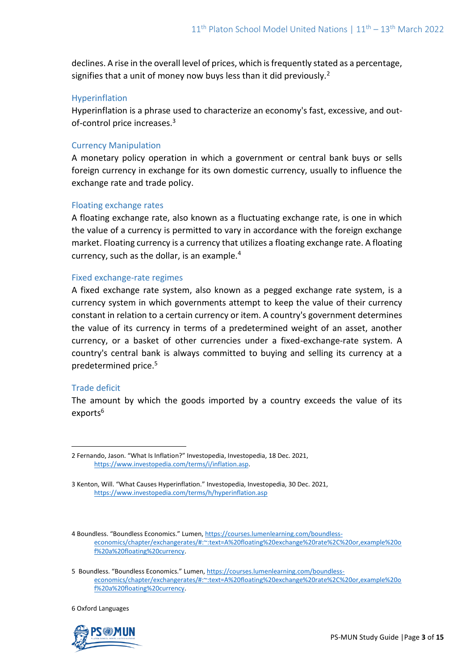declines. A rise in the overall level of prices, which is frequently stated as a percentage, signifies that a unit of money now buys less than it did previously.<sup>2</sup>

### Hyperinflation

Hyperinflation is a phrase used to characterize an economy's fast, excessive, and outof-control price increases.<sup>3</sup>

# Currency Manipulation

A monetary policy operation in which a government or central bank buys or sells foreign currency in exchange for its own domestic currency, usually to influence the exchange rate and trade policy.

# Floating exchange rates

A floating exchange rate, also known as a fluctuating exchange rate, is one in which the value of a currency is permitted to vary in accordance with the foreign exchange market. Floating currency is a currency that utilizes a floating exchange rate. A floating currency, such as the dollar, is an example.<sup>4</sup>

# Fixed exchange-rate regimes

A fixed exchange rate system, also known as a pegged exchange rate system, is a currency system in which governments attempt to keep the value of their currency constant in relation to a certain currency or item. A country's government determines the value of its currency in terms of a predetermined weight of an asset, another currency, or a basket of other currencies under a fixed-exchange-rate system. A country's central bank is always committed to buying and selling its currency at a predetermined price.<sup>5</sup>

### Trade deficit

The amount by which the goods imported by a country exceeds the value of its exports<sup>6</sup>

6 Oxford Languages



<sup>2</sup> Fernando, Jason. "What Is Inflation?" Investopedia, Investopedia, 18 Dec. 2021, [https://www.investopedia.com/terms/i/inflation.asp.](https://www.investopedia.com/terms/i/inflation.asp)

<sup>3</sup> Kenton, Will. "What Causes Hyperinflation." Investopedia, Investopedia, 30 Dec. 2021, <https://www.investopedia.com/terms/h/hyperinflation.asp>

<sup>4</sup> Boundless. "Boundless Economics." Lumen, [https://courses.lumenlearning.com/boundless](https://courses.lumenlearning.com/boundless-economics/chapter/exchangerates/#:~:text=A%20floating%20exchange%20rate%2C%20or,example%20of%20a%20floating%20currency)[economics/chapter/exchangerates/#:~:text=A%20floating%20exchange%20rate%2C%20or,example%20o](https://courses.lumenlearning.com/boundless-economics/chapter/exchangerates/#:~:text=A%20floating%20exchange%20rate%2C%20or,example%20of%20a%20floating%20currency) [f%20a%20floating%20currency.](https://courses.lumenlearning.com/boundless-economics/chapter/exchangerates/#:~:text=A%20floating%20exchange%20rate%2C%20or,example%20of%20a%20floating%20currency)

<sup>5</sup> Boundless. "Boundless Economics." Lumen, [https://courses.lumenlearning.com/boundless](https://courses.lumenlearning.com/boundless-economics/chapter/exchangerates/#:~:text=A%20floating%20exchange%20rate%2C%20or,example%20of%20a%20floating%20currency)[economics/chapter/exchangerates/#:~:text=A%20floating%20exchange%20rate%2C%20or,example%20o](https://courses.lumenlearning.com/boundless-economics/chapter/exchangerates/#:~:text=A%20floating%20exchange%20rate%2C%20or,example%20of%20a%20floating%20currency) [f%20a%20floating%20currency.](https://courses.lumenlearning.com/boundless-economics/chapter/exchangerates/#:~:text=A%20floating%20exchange%20rate%2C%20or,example%20of%20a%20floating%20currency)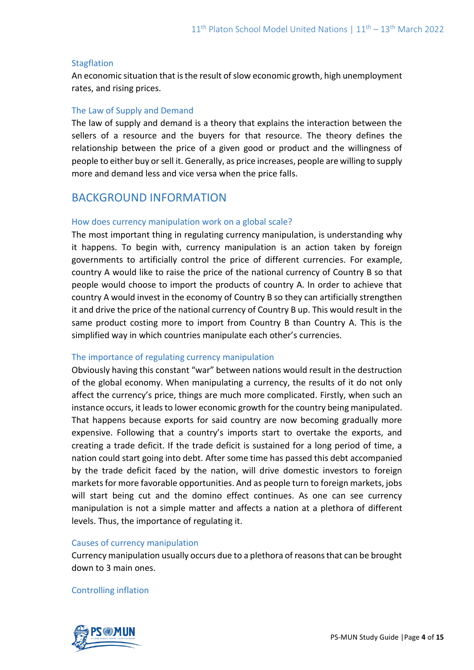### **Stagflation**

An economic situation that is the result of slow economic growth, high unemployment rates, and rising prices.

### The Law of Supply and Demand

The law of supply and demand is a theory that explains the interaction between the sellers of a resource and the buyers for that resource. The theory defines the relationship between the price of a given good or product and the willingness of people to either buy or sell it. Generally, as price increases, people are willing to supply more and demand less and vice versa when the price falls.

# BACKGROUND INFORMATION

# How does currency manipulation work on a global scale?

The most important thing in regulating currency manipulation, is understanding why it happens. To begin with, currency manipulation is an action taken by foreign governments to artificially control the price of different currencies. For example, country A would like to raise the price of the national currency of Country B so that people would choose to import the products of country A. In order to achieve that country A would invest in the economy of Country B so they can artificially strengthen it and drive the price of the national currency of Country B up. This would result in the same product costing more to import from Country B than Country A. This is the simplified way in which countries manipulate each other's currencies.

### The importance of regulating currency manipulation

Obviously having this constant "war" between nations would result in the destruction of the global economy. When manipulating a currency, the results of it do not only affect the currency's price, things are much more complicated. Firstly, when such an instance occurs, it leads to lower economic growth for the country being manipulated. That happens because exports for said country are now becoming gradually more expensive. Following that a country's imports start to overtake the exports, and creating a trade deficit. If the trade deficit is sustained for a long period of time, a nation could start going into debt. After some time has passed this debt accompanied by the trade deficit faced by the nation, will drive domestic investors to foreign markets for more favorable opportunities. And as people turn to foreign markets, jobs will start being cut and the domino effect continues. As one can see currency manipulation is not a simple matter and affects a nation at a plethora of different levels. Thus, the importance of regulating it.

### Causes of currency manipulation

Currency manipulation usually occurs due to a plethora of reasons that can be brought down to 3 main ones.

### Controlling inflation

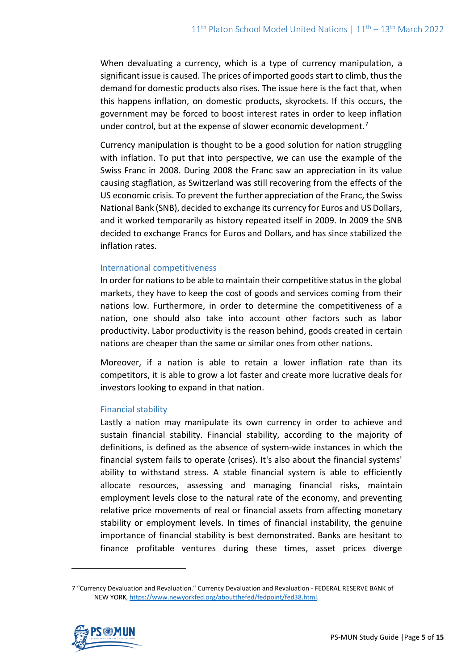When devaluating a currency, which is a type of currency manipulation, a significant issue is caused. The prices of imported goods start to climb, thus the demand for domestic products also rises. The issue here is the fact that, when this happens inflation, on domestic products, skyrockets. If this occurs, the government may be forced to boost interest rates in order to keep inflation under control, but at the expense of slower economic development.<sup>7</sup>

Currency manipulation is thought to be a good solution for nation struggling with inflation. To put that into perspective, we can use the example of the Swiss Franc in 2008. During 2008 the Franc saw an appreciation in its value causing stagflation, as Switzerland was still recovering from the effects of the US economic crisis. To prevent the further appreciation of the Franc, the Swiss National Bank (SNB), decided to exchange its currency for Euros and US Dollars, and it worked temporarily as history repeated itself in 2009. In 2009 the SNB decided to exchange Francs for Euros and Dollars, and has since stabilized the inflation rates.

### International competitiveness

In order for nations to be able to maintain their competitive status in the global markets, they have to keep the cost of goods and services coming from their nations low. Furthermore, in order to determine the competitiveness of a nation, one should also take into account other factors such as labor productivity. Labor productivity is the reason behind, goods created in certain nations are cheaper than the same or similar ones from other nations.

Moreover, if a nation is able to retain a lower inflation rate than its competitors, it is able to grow a lot faster and create more lucrative deals for investors looking to expand in that nation.

### Financial stability

Lastly a nation may manipulate its own currency in order to achieve and sustain financial stability. Financial stability, according to the majority of definitions, is defined as the absence of system-wide instances in which the financial system fails to operate (crises). It's also about the financial systems' ability to withstand stress. A stable financial system is able to efficiently allocate resources, assessing and managing financial risks, maintain employment levels close to the natural rate of the economy, and preventing relative price movements of real or financial assets from affecting monetary stability or employment levels. In times of financial instability, the genuine importance of financial stability is best demonstrated. Banks are hesitant to finance profitable ventures during these times, asset prices diverge

<sup>7</sup> "Currency Devaluation and Revaluation." Currency Devaluation and Revaluation - FEDERAL RESERVE BANK of NEW YORK, [https://www.newyorkfed.org/aboutthefed/fedpoint/fed38.html.](https://www.newyorkfed.org/aboutthefed/fedpoint/fed38.html)

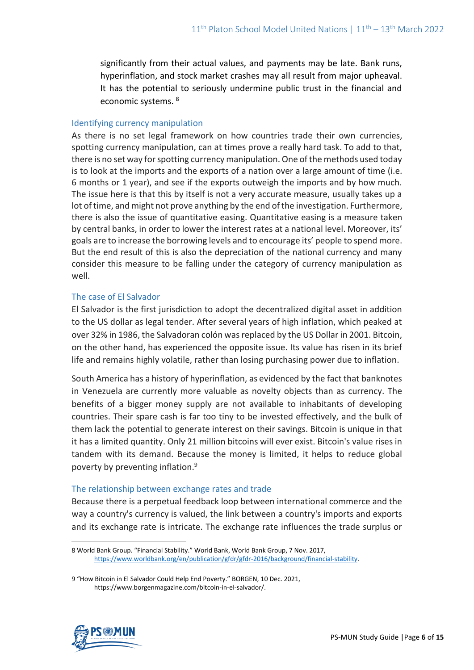significantly from their actual values, and payments may be late. Bank runs, hyperinflation, and stock market crashes may all result from major upheaval. It has the potential to seriously undermine public trust in the financial and economic systems. <sup>8</sup>

### Identifying currency manipulation

As there is no set legal framework on how countries trade their own currencies, spotting currency manipulation, can at times prove a really hard task. To add to that, there is no set way for spotting currency manipulation. One of the methods used today is to look at the imports and the exports of a nation over a large amount of time (i.e. 6 months or 1 year), and see if the exports outweigh the imports and by how much. The issue here is that this by itself is not a very accurate measure, usually takes up a lot of time, and might not prove anything by the end of the investigation. Furthermore, there is also the issue of quantitative easing. Quantitative easing is a measure taken by central banks, in order to lower the interest rates at a national level. Moreover, its' goals are to increase the borrowing levels and to encourage its' people to spend more. But the end result of this is also the depreciation of the national currency and many consider this measure to be falling under the category of currency manipulation as well.

# The case of El Salvador

El Salvador is the first jurisdiction to adopt the decentralized digital asset in addition to the US dollar as legal tender. After several years of high inflation, which peaked at over 32% in 1986, the Salvadoran colón was replaced by the US Dollar in 2001. Bitcoin, on the other hand, has experienced the opposite issue. Its value has risen in its brief life and remains highly volatile, rather than losing purchasing power due to inflation.

South America has a history of hyperinflation, as evidenced by the fact that banknotes in Venezuela are currently more valuable as novelty objects than as currency. The benefits of a bigger money supply are not available to inhabitants of developing countries. Their spare cash is far too tiny to be invested effectively, and the bulk of them lack the potential to generate interest on their savings. Bitcoin is unique in that it has a limited quantity. Only 21 million bitcoins will ever exist. Bitcoin's value rises in tandem with its demand. Because the money is limited, it helps to reduce global poverty by preventing inflation.<sup>9</sup>

# The relationship between exchange rates and trade

Because there is a perpetual feedback loop between international commerce and the way a country's currency is valued, the link between a country's imports and exports and its exchange rate is intricate. The exchange rate influences the trade surplus or

<sup>9</sup> "How Bitcoin in El Salvador Could Help End Poverty." BORGEN, 10 Dec. 2021, https://www.borgenmagazine.com/bitcoin-in-el-salvador/.



<sup>8</sup> World Bank Group. "Financial Stability." World Bank, World Bank Group, 7 Nov. 2017, [https://www.worldbank.org/en/publication/gfdr/gfdr-2016/background/financial-stability.](https://www.worldbank.org/en/publication/gfdr/gfdr-2016/background/financial-stability)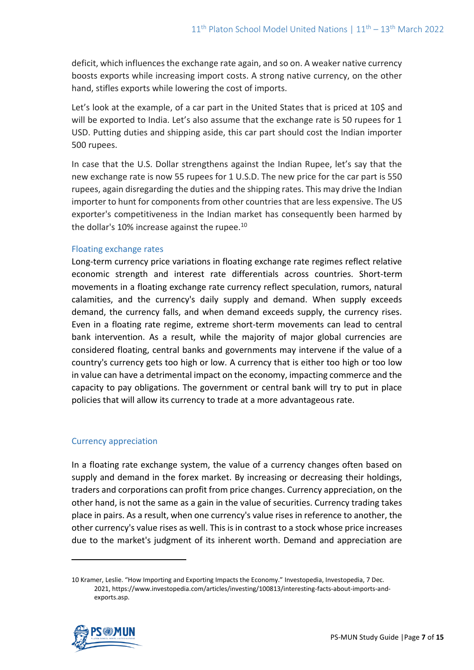deficit, which influences the exchange rate again, and so on. A weaker native currency boosts exports while increasing import costs. A strong native currency, on the other hand, stifles exports while lowering the cost of imports.

Let's look at the example, of a car part in the United States that is priced at 10\$ and will be exported to India. Let's also assume that the exchange rate is 50 rupees for 1 USD. Putting duties and shipping aside, this car part should cost the Indian importer 500 rupees.

In case that the U.S. Dollar strengthens against the Indian Rupee, let's say that the new exchange rate is now 55 rupees for 1 U.S.D. The new price for the car part is 550 rupees, again disregarding the duties and the shipping rates. This may drive the Indian importer to hunt for components from other countries that are less expensive. The US exporter's competitiveness in the Indian market has consequently been harmed by the dollar's 10% increase against the rupee.<sup>10</sup>

### Floating exchange rates

Long-term currency price variations in floating exchange rate regimes reflect relative economic strength and interest rate differentials across countries. Short-term movements in a floating exchange rate currency reflect speculation, rumors, natural calamities, and the currency's daily supply and demand. When supply exceeds demand, the currency falls, and when demand exceeds supply, the currency rises. Even in a floating rate regime, extreme short-term movements can lead to central bank intervention. As a result, while the majority of major global currencies are considered floating, central banks and governments may intervene if the value of a country's currency gets too high or low. A currency that is either too high or too low in value can have a detrimental impact on the economy, impacting commerce and the capacity to pay obligations. The government or central bank will try to put in place policies that will allow its currency to trade at a more advantageous rate.

### Currency appreciation

In a floating rate exchange system, the value of a currency changes often based on supply and demand in the forex market. By increasing or decreasing their holdings, traders and corporations can profit from price changes. Currency appreciation, on the other hand, is not the same as a gain in the value of securities. Currency trading takes place in pairs. As a result, when one currency's value rises in reference to another, the other currency's value rises as well. This is in contrast to a stock whose price increases due to the market's judgment of its inherent worth. Demand and appreciation are

<sup>10</sup> Kramer, Leslie. "How Importing and Exporting Impacts the Economy." Investopedia, Investopedia, 7 Dec. 2021, https://www.investopedia.com/articles/investing/100813/interesting-facts-about-imports-andexports.asp.

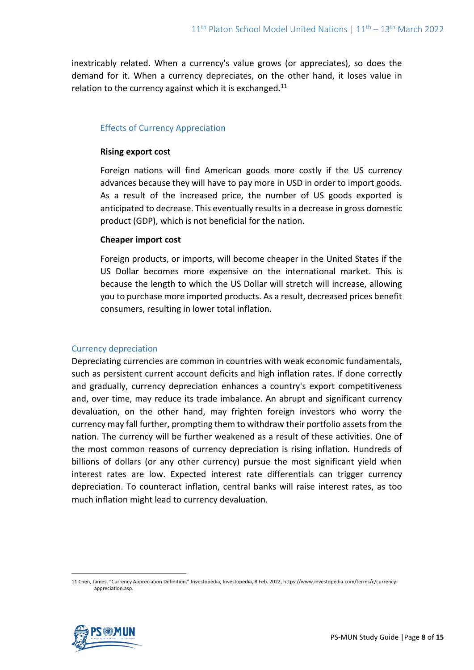inextricably related. When a currency's value grows (or appreciates), so does the demand for it. When a currency depreciates, on the other hand, it loses value in relation to the currency against which it is exchanged. $^{11}$ 

### Effects of Currency Appreciation

### **Rising export cost**

Foreign nations will find American goods more costly if the US currency advances because they will have to pay more in USD in order to import goods. As a result of the increased price, the number of US goods exported is anticipated to decrease. This eventually results in a decrease in gross domestic product (GDP), which is not beneficial for the nation.

# **Cheaper import cost**

Foreign products, or imports, will become cheaper in the United States if the US Dollar becomes more expensive on the international market. This is because the length to which the US Dollar will stretch will increase, allowing you to purchase more imported products. As a result, decreased prices benefit consumers, resulting in lower total inflation.

# Currency depreciation

Depreciating currencies are common in countries with weak economic fundamentals, such as persistent current account deficits and high inflation rates. If done correctly and gradually, currency depreciation enhances a country's export competitiveness and, over time, may reduce its trade imbalance. An abrupt and significant currency devaluation, on the other hand, may frighten foreign investors who worry the currency may fall further, prompting them to withdraw their portfolio assets from the nation. The currency will be further weakened as a result of these activities. One of the most common reasons of currency depreciation is rising inflation. Hundreds of billions of dollars (or any other currency) pursue the most significant yield when interest rates are low. Expected interest rate differentials can trigger currency depreciation. To counteract inflation, central banks will raise interest rates, as too much inflation might lead to currency devaluation.

<sup>11</sup> Chen, James. "Currency Appreciation Definition." Investopedia, Investopedia, 8 Feb. 2022, https://www.investopedia.com/terms/c/currencyappreciation.asp.

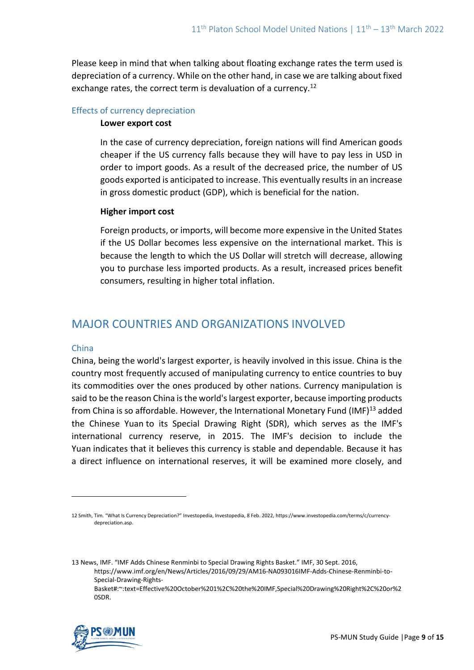Please keep in mind that when talking about floating exchange rates the term used is depreciation of a currency. While on the other hand, in case we are talking about fixed exchange rates, the correct term is devaluation of a currency.<sup>12</sup>

#### Effects of currency depreciation

#### **Lower export cost**

In the case of currency depreciation, foreign nations will find American goods cheaper if the US currency falls because they will have to pay less in USD in order to import goods. As a result of the decreased price, the number of US goods exported is anticipated to increase. This eventually results in an increase in gross domestic product (GDP), which is beneficial for the nation.

#### **Higher import cost**

Foreign products, or imports, will become more expensive in the United States if the US Dollar becomes less expensive on the international market. This is because the length to which the US Dollar will stretch will decrease, allowing you to purchase less imported products. As a result, increased prices benefit consumers, resulting in higher total inflation.

# MAJOR COUNTRIES AND ORGANIZATIONS INVOLVED

### China

China, being the world's largest exporter, is heavily involved in this issue. China is the country most frequently accused of manipulating currency to entice countries to buy its commodities over the ones produced by other nations. Currency manipulation is said to be the reason China is the world's largest exporter, because importing products from China is so affordable. However, the International Monetary Fund (IMF)<sup>13</sup> added the Chinese Yuan to its Special Drawing Right (SDR), which serves as the IMF's international currency reserve, in 2015. The IMF's decision to include the Yuan indicates that it believes this currency is stable and dependable. Because it has a direct influence on international reserves, it will be examined more closely, and

13 News, IMF. "IMF Adds Chinese Renminbi to Special Drawing Rights Basket." IMF, 30 Sept. 2016, [https://www.imf.org/en/News/Articles/2016/09/29/AM16-NA093016IMF-Adds-Chinese-Renminbi-to-](https://www.imf.org/en/News/Articles/2016/09/29/AM16-NA093016IMF-Adds-Chinese-Renminbi-to-Special-Drawing-Rights-Basket#:~:text=Effective%20October%201%2C%20the%20IMF,Special%20Drawing%20Right%2C%20or%20SDR)[Special-Drawing-Rights-](https://www.imf.org/en/News/Articles/2016/09/29/AM16-NA093016IMF-Adds-Chinese-Renminbi-to-Special-Drawing-Rights-Basket#:~:text=Effective%20October%201%2C%20the%20IMF,Special%20Drawing%20Right%2C%20or%20SDR)[Basket#:~:text=Effective%20October%201%2C%20the%20IMF,Special%20Drawing%20Right%2C%20or%2](https://www.imf.org/en/News/Articles/2016/09/29/AM16-NA093016IMF-Adds-Chinese-Renminbi-to-Special-Drawing-Rights-Basket#:~:text=Effective%20October%201%2C%20the%20IMF,Special%20Drawing%20Right%2C%20or%20SDR) [0SDR.](https://www.imf.org/en/News/Articles/2016/09/29/AM16-NA093016IMF-Adds-Chinese-Renminbi-to-Special-Drawing-Rights-Basket#:~:text=Effective%20October%201%2C%20the%20IMF,Special%20Drawing%20Right%2C%20or%20SDR)



<sup>12</sup> Smith, Tim. "What Is Currency Depreciation?" Investopedia, Investopedia, 8 Feb. 2022, https://www.investopedia.com/terms/c/currencydepreciation.asp.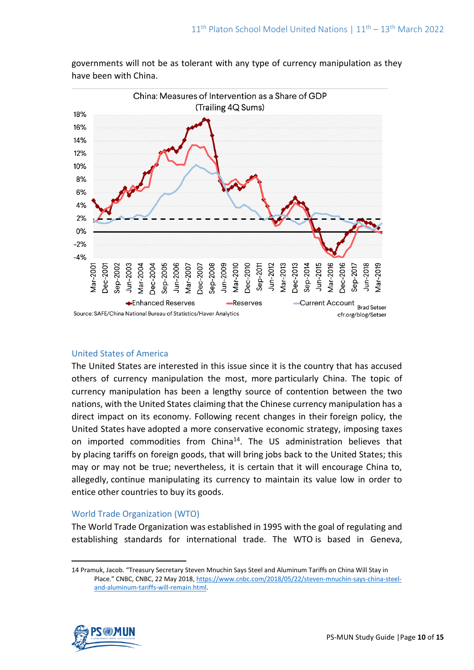

governments will not be as tolerant with any type of currency manipulation as they have been with China.

#### United States of America

The United States are interested in this issue since it is the country that has accused others of currency manipulation the most, more particularly China. The topic of currency manipulation has been a lengthy source of contention between the two nations, with the United States claiming that the Chinese currency manipulation has a direct impact on its economy. Following recent changes in their foreign policy, the United States have adopted a more conservative economic strategy, imposing taxes on imported commodities from China<sup>14</sup>. The US administration believes that by placing tariffs on foreign goods, that will bring jobs back to the United States; this may or may not be true; nevertheless, it is certain that it will encourage China to, allegedly, continue manipulating its currency to maintain its value low in order to entice other countries to buy its goods.

### World Trade Organization (WTO)

The World Trade Organization was established in 1995 with the goal of regulating and establishing standards for international trade. The WTO is based in Geneva,

<sup>14</sup> Pramuk, Jacob. "Treasury Secretary Steven Mnuchin Says Steel and Aluminum Tariffs on China Will Stay in Place." CNBC, CNBC, 22 May 2018, [https://www.cnbc.com/2018/05/22/steven-mnuchin-says-china-steel](https://www.cnbc.com/2018/05/22/steven-mnuchin-says-china-steel-and-aluminum-tariffs-will-remain.html)[and-aluminum-tariffs-will-remain.html.](https://www.cnbc.com/2018/05/22/steven-mnuchin-says-china-steel-and-aluminum-tariffs-will-remain.html)

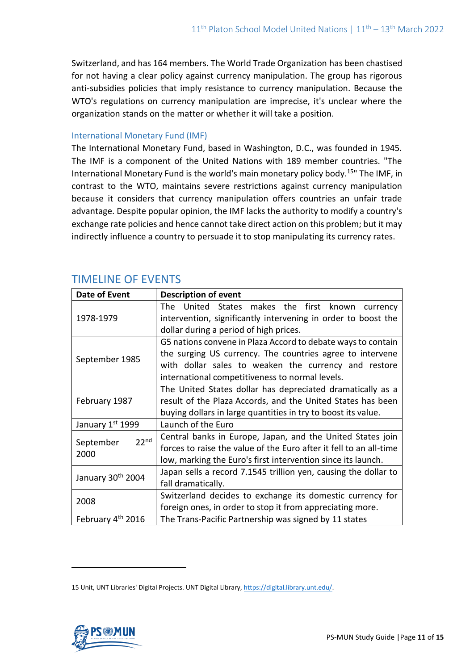Switzerland, and has 164 members. The World Trade Organization has been chastised for not having a clear policy against currency manipulation. The group has rigorous anti-subsidies policies that imply resistance to currency manipulation. Because the WTO's regulations on currency manipulation are imprecise, it's unclear where the organization stands on the matter or whether it will take a position.

### International Monetary Fund (IMF)

The International Monetary Fund, based in Washington, D.C., was founded in 1945. The IMF is a component of the United Nations with 189 member countries. "The International Monetary Fund is the world's main monetary policy body.<sup>15</sup>" The IMF, in contrast to the WTO, maintains severe restrictions against currency manipulation because it considers that currency manipulation offers countries an unfair trade advantage. Despite popular opinion, the IMF lacks the authority to modify a country's exchange rate policies and hence cannot take direct action on this problem; but it may indirectly influence a country to persuade it to stop manipulating its currency rates.

| Date of Event                         | <b>Description of event</b>                                                                                                                                                                                                          |
|---------------------------------------|--------------------------------------------------------------------------------------------------------------------------------------------------------------------------------------------------------------------------------------|
| 1978-1979                             | The United States makes the first known<br>currency<br>intervention, significantly intervening in order to boost the<br>dollar during a period of high prices.                                                                       |
| September 1985                        | G5 nations convene in Plaza Accord to debate ways to contain<br>the surging US currency. The countries agree to intervene<br>with dollar sales to weaken the currency and restore<br>international competitiveness to normal levels. |
| February 1987                         | The United States dollar has depreciated dramatically as a<br>result of the Plaza Accords, and the United States has been<br>buying dollars in large quantities in try to boost its value.                                           |
| January 1st 1999                      | Launch of the Euro                                                                                                                                                                                                                   |
| 22 <sup>nd</sup><br>September<br>2000 | Central banks in Europe, Japan, and the United States join<br>forces to raise the value of the Euro after it fell to an all-time<br>low, marking the Euro's first intervention since its launch.                                     |
| January 30th 2004                     | Japan sells a record 7.1545 trillion yen, causing the dollar to<br>fall dramatically.                                                                                                                                                |
| 2008                                  | Switzerland decides to exchange its domestic currency for<br>foreign ones, in order to stop it from appreciating more.                                                                                                               |
| February 4 <sup>th</sup> 2016         | The Trans-Pacific Partnership was signed by 11 states                                                                                                                                                                                |

# TIMELINE OF EVENTS

<sup>15</sup> Unit, UNT Libraries' Digital Projects. UNT Digital Library[, https://digital.library.unt.edu/.](https://digital.library.unt.edu/)

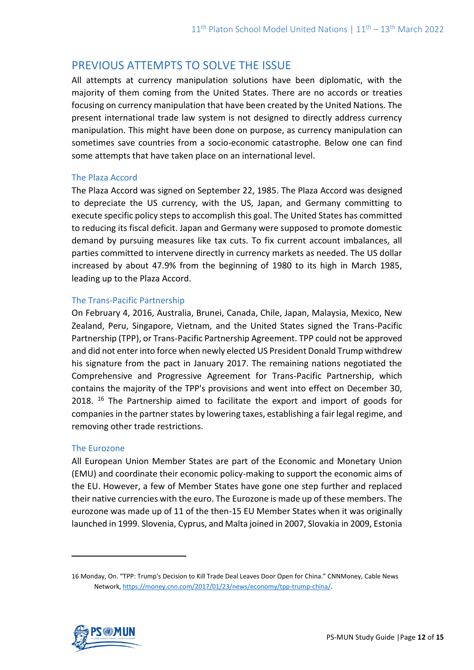# PREVIOUS ATTEMPTS TO SOLVE THE ISSUE

All attempts at currency manipulation solutions have been diplomatic, with the majority of them coming from the United States. There are no accords or treaties focusing on currency manipulation that have been created by the United Nations. The present international trade law system is not designed to directly address currency manipulation. This might have been done on purpose, as currency manipulation can sometimes save countries from a socio-economic catastrophe. Below one can find some attempts that have taken place on an international level.

# The Plaza Accord

The Plaza Accord was signed on September 22, 1985. The Plaza Accord was designed to depreciate the US currency, with the US, Japan, and Germany committing to execute specific policy steps to accomplish this goal. The United States has committed to reducing its fiscal deficit. Japan and Germany were supposed to promote domestic demand by pursuing measures like tax cuts. To fix current account imbalances, all parties committed to intervene directly in currency markets as needed. The US dollar increased by about 47.9% from the beginning of 1980 to its high in March 1985, leading up to the Plaza Accord.

# The Trans-Pacific Partnership

On February 4, 2016, Australia, Brunei, Canada, Chile, Japan, Malaysia, Mexico, New Zealand, Peru, Singapore, Vietnam, and the United States signed the Trans-Pacific Partnership (TPP), or Trans-Pacific Partnership Agreement. TPP could not be approved and did not enter into force when newly elected US President Donald Trump withdrew his signature from the pact in January 2017. The remaining nations negotiated the Comprehensive and Progressive Agreement for Trans-Pacific Partnership, which contains the majority of the TPP's provisions and went into effect on December 30, 2018. <sup>16</sup> The Partnership aimed to facilitate the export and import of goods for companies in the partner states by lowering taxes, establishing a fair legal regime, and removing other trade restrictions.

### The Eurozone

All European Union Member States are part of the Economic and Monetary Union (EMU) and coordinate their economic policy-making to support the economic aims of the EU. However, a few of Member States have gone one step further and replaced their native currencies with the euro. The Eurozone is made up of these members. The eurozone was made up of 11 of the then-15 EU Member States when it was originally launched in 1999. Slovenia, Cyprus, and Malta joined in 2007, Slovakia in 2009, Estonia

<sup>16</sup> Monday, On. "TPP: Trump's Decision to Kill Trade Deal Leaves Door Open for China." CNNMoney, Cable News Network[, https://money.cnn.com/2017/01/23/news/economy/tpp-trump-china/.](https://money.cnn.com/2017/01/23/news/economy/tpp-trump-china/)

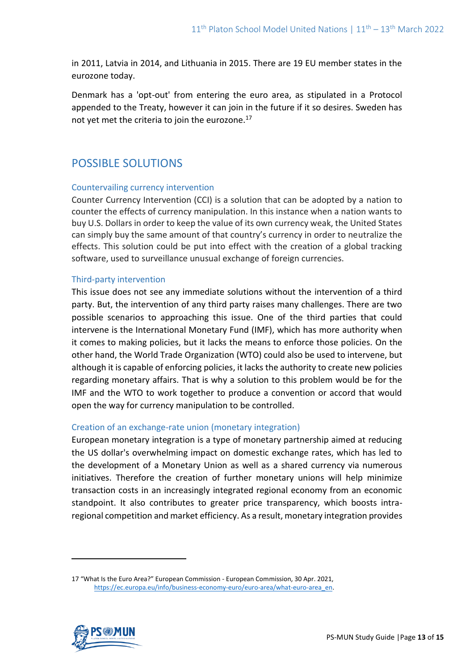in 2011, Latvia in 2014, and Lithuania in 2015. There are 19 EU member states in the eurozone today.

Denmark has a 'opt-out' from entering the euro area, as stipulated in a Protocol appended to the Treaty, however it can join in the future if it so desires. Sweden has not yet met the criteria to join the eurozone. $^{17}$ 

# POSSIBLE SOLUTIONS

# Countervailing currency intervention

Counter Currency Intervention (CCI) is a solution that can be adopted by a nation to counter the effects of currency manipulation. In this instance when a nation wants to buy U.S. Dollars in order to keep the value of its own currency weak, the United States can simply buy the same amount of that country's currency in order to neutralize the effects. This solution could be put into effect with the creation of a global tracking software, used to surveillance unusual exchange of foreign currencies.

# Third-party intervention

This issue does not see any immediate solutions without the intervention of a third party. But, the intervention of any third party raises many challenges. There are two possible scenarios to approaching this issue. One of the third parties that could intervene is the International Monetary Fund (IMF), which has more authority when it comes to making policies, but it lacks the means to enforce those policies. On the other hand, the World Trade Organization (WTO) could also be used to intervene, but although it is capable of enforcing policies, it lacks the authority to create new policies regarding monetary affairs. That is why a solution to this problem would be for the IMF and the WTO to work together to produce a convention or accord that would open the way for currency manipulation to be controlled.

# Creation of an exchange-rate union (monetary integration)

European monetary integration is a type of monetary partnership aimed at reducing the US dollar's overwhelming impact on domestic exchange rates, which has led to the development of a Monetary Union as well as a shared currency via numerous initiatives. Therefore the creation of further monetary unions will help minimize transaction costs in an increasingly integrated regional economy from an economic standpoint. It also contributes to greater price transparency, which boosts intraregional competition and market efficiency. As a result, monetary integration provides

<sup>17</sup> "What Is the Euro Area?" European Commission - European Commission, 30 Apr. 2021, [https://ec.europa.eu/info/business-economy-euro/euro-area/what-euro-area\\_en.](https://ec.europa.eu/info/business-economy-euro/euro-area/what-euro-area_en)

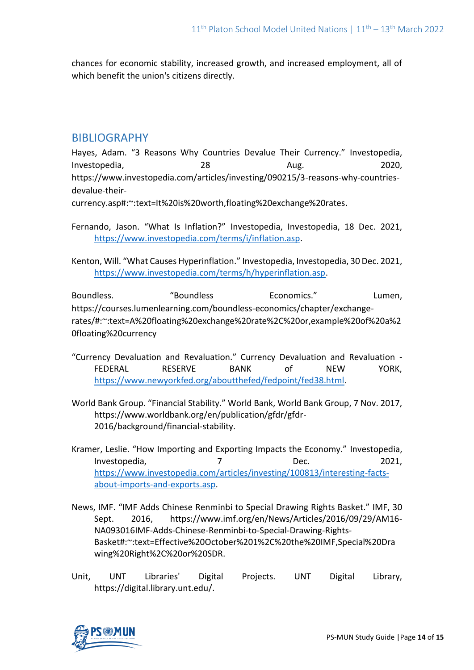chances for economic stability, increased growth, and increased employment, all of which benefit the union's citizens directly.

# BIBLIOGRAPHY

Hayes, Adam. "3 Reasons Why Countries Devalue Their Currency." Investopedia, Investopedia, and 28 and 2020, and 2020, and 2020, and 2020, and 2020, and 2020, and 2020, and 2020, and 2020, [https://www.investopedia.com/articles/investing/090215/3-reasons-why-countries](https://www.investopedia.com/articles/investing/090215/3-reasons-why-countries-devalue-their-currency.asp#:~:text=It%20is%20worth,floating%20exchange%20rates)[devalue-their-](https://www.investopedia.com/articles/investing/090215/3-reasons-why-countries-devalue-their-currency.asp#:~:text=It%20is%20worth,floating%20exchange%20rates)

[currency.asp#:~:text=It%20is%20worth,floating%20exchange%20rates.](https://www.investopedia.com/articles/investing/090215/3-reasons-why-countries-devalue-their-currency.asp#:~:text=It%20is%20worth,floating%20exchange%20rates)

Fernando, Jason. "What Is Inflation?" Investopedia, Investopedia, 18 Dec. 2021, [https://www.investopedia.com/terms/i/inflation.asp.](https://www.investopedia.com/terms/i/inflation.asp)

Kenton, Will. "What Causes Hyperinflation." Investopedia, Investopedia, 30 Dec. 2021, [https://www.investopedia.com/terms/h/hyperinflation.asp.](https://www.investopedia.com/terms/h/hyperinflation.asp)

Boundless. "Boundless Economics." Lumen, [https://courses.lumenlearning.com/boundless-economics/chapter/exchange](https://courses.lumenlearning.com/boundless-economics/chapter/exchange-rates/#:~:text=A%20floating%20exchange%20rate%2C%20or,example%20of%20a%20floating%20currency)[rates/#:~:text=A%20floating%20exchange%20rate%2C%20or,example%20of%20a%2](https://courses.lumenlearning.com/boundless-economics/chapter/exchange-rates/#:~:text=A%20floating%20exchange%20rate%2C%20or,example%20of%20a%20floating%20currency) [0floating%20currency](https://courses.lumenlearning.com/boundless-economics/chapter/exchange-rates/#:~:text=A%20floating%20exchange%20rate%2C%20or,example%20of%20a%20floating%20currency)

- "Currency Devaluation and Revaluation." Currency Devaluation and Revaluation FEDERAL RESERVE BANK of NEW YORK, [https://www.newyorkfed.org/aboutthefed/fedpoint/fed38.html.](https://www.newyorkfed.org/aboutthefed/fedpoint/fed38.html)
- World Bank Group. "Financial Stability." World Bank, World Bank Group, 7 Nov. 2017, [https://www.worldbank.org/en/publication/gfdr/gfdr-](https://www.worldbank.org/en/publication/gfdr/gfdr-2016/background/financial-stability)[2016/background/financial-stability.](https://www.worldbank.org/en/publication/gfdr/gfdr-2016/background/financial-stability)
- Kramer, Leslie. "How Importing and Exporting Impacts the Economy." Investopedia, Investopedia, 7 Dec. 2021, [https://www.investopedia.com/articles/investing/100813/interesting-facts](https://www.investopedia.com/articles/investing/100813/interesting-facts-about-imports-and-exports.asp)[about-imports-and-exports.asp.](https://www.investopedia.com/articles/investing/100813/interesting-facts-about-imports-and-exports.asp)
- News, IMF. "IMF Adds Chinese Renminbi to Special Drawing Rights Basket." IMF, 30 Sept. 2016, [https://www.imf.org/en/News/Articles/2016/09/29/AM16-](https://www.imf.org/en/News/Articles/2016/09/29/AM16-NA093016IMF-Adds-Chinese-Renminbi-to-Special-Drawing-Rights-Basket#:~:text=Effective%20October%201%2C%20the%20IMF,Special%20Drawing%20Right%2C%20or%20SDR) [NA093016IMF-Adds-Chinese-Renminbi-to-Special-Drawing-Rights-](https://www.imf.org/en/News/Articles/2016/09/29/AM16-NA093016IMF-Adds-Chinese-Renminbi-to-Special-Drawing-Rights-Basket#:~:text=Effective%20October%201%2C%20the%20IMF,Special%20Drawing%20Right%2C%20or%20SDR)[Basket#:~:text=Effective%20October%201%2C%20the%20IMF,Special%20Dra](https://www.imf.org/en/News/Articles/2016/09/29/AM16-NA093016IMF-Adds-Chinese-Renminbi-to-Special-Drawing-Rights-Basket#:~:text=Effective%20October%201%2C%20the%20IMF,Special%20Drawing%20Right%2C%20or%20SDR) [wing%20Right%2C%20or%20SDR.](https://www.imf.org/en/News/Articles/2016/09/29/AM16-NA093016IMF-Adds-Chinese-Renminbi-to-Special-Drawing-Rights-Basket#:~:text=Effective%20October%201%2C%20the%20IMF,Special%20Drawing%20Right%2C%20or%20SDR)
- Unit, UNT Libraries' Digital Projects. UNT Digital Library, [https://digital.library.unt.edu/.](https://digital.library.unt.edu/)